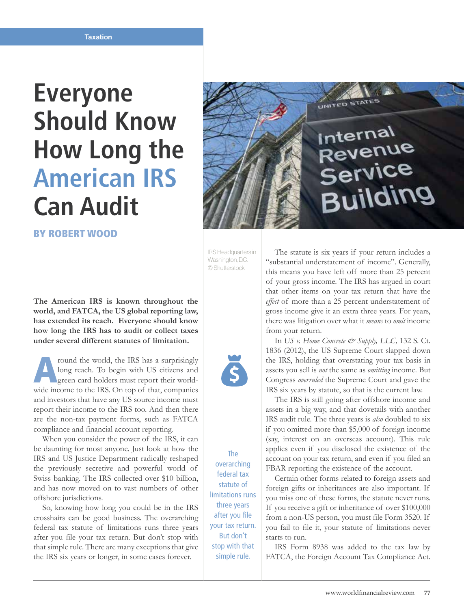## **Everyone Should Know How Long the American IRS Can Audit**

BY ROBERT WOOD

**The American IRS is known throughout the world, and FATCA, the US global reporting law, has extended its reach. Everyone should know how long the IRS has to audit or collect taxes under several different statutes of limitation.**

From the world, the IRS has a surprisingly<br>
long reach. To begin with US citizens and<br>
green card holders must report their world-<br>
wide income to the IBS. On top of that componies long reach. To begin with US citizens and wide income to the IRS. On top of that, companies and investors that have any US source income must report their income to the IRS too. And then there are the non-tax payment forms, such as FATCA compliance and financial account reporting.

When you consider the power of the IRS, it can be daunting for most anyone. Just look at how the IRS and US Justice Department radically reshaped the previously secretive and powerful world of Swiss banking. The IRS collected over \$10 billion, and has now moved on to vast numbers of other offshore jurisdictions.

So, knowing how long you could be in the IRS crosshairs can be good business. The overarching federal tax statute of limitations runs three years after you file your tax return. But don't stop with that simple rule. There are many exceptions that give the IRS six years or longer, in some cases forever.



IRS Headquarters in Washington, D.C. © Shutterstock

The overarching federal tax statute of limitations runs three years after you file your tax return. But don't stop with that simple rule.

The statute is six years if your return includes a "substantial understatement of income". Generally, this means you have left off more than 25 percent of your gross income. The IRS has argued in court that other items on your tax return that have the *effect* of more than a 25 percent understatement of gross income give it an extra three years. For years, there was litigation over what it *means* to *omit* income from your return.

In *US v. Home Concrete & Supply, LLC, 132 S. Ct.* 1836 (2012), the US Supreme Court slapped down the IRS, holding that overstating your tax basis in assets you sell is *not* the same as *omitting* income. But Congress *overruled* the Supreme Court and gave the IRS six years by statute, so that is the current law.

The IRS is still going after offshore income and assets in a big way, and that dovetails with another IRS audit rule. The three years is *also* doubled to six if you omitted more than \$5,000 of foreign income (say, interest on an overseas account). This rule applies even if you disclosed the existence of the account on your tax return, and even if you filed an FBAR reporting the existence of the account.

Certain other forms related to foreign assets and foreign gifts or inheritances are also important. If you miss one of these forms, the statute never runs. If you receive a gift or inheritance of over \$100,000 from a non-US person, you must file Form 3520. If you fail to file it, your statute of limitations never starts to run.

IRS Form 8938 was added to the tax law by FATCA, the Foreign Account Tax Compliance Act.